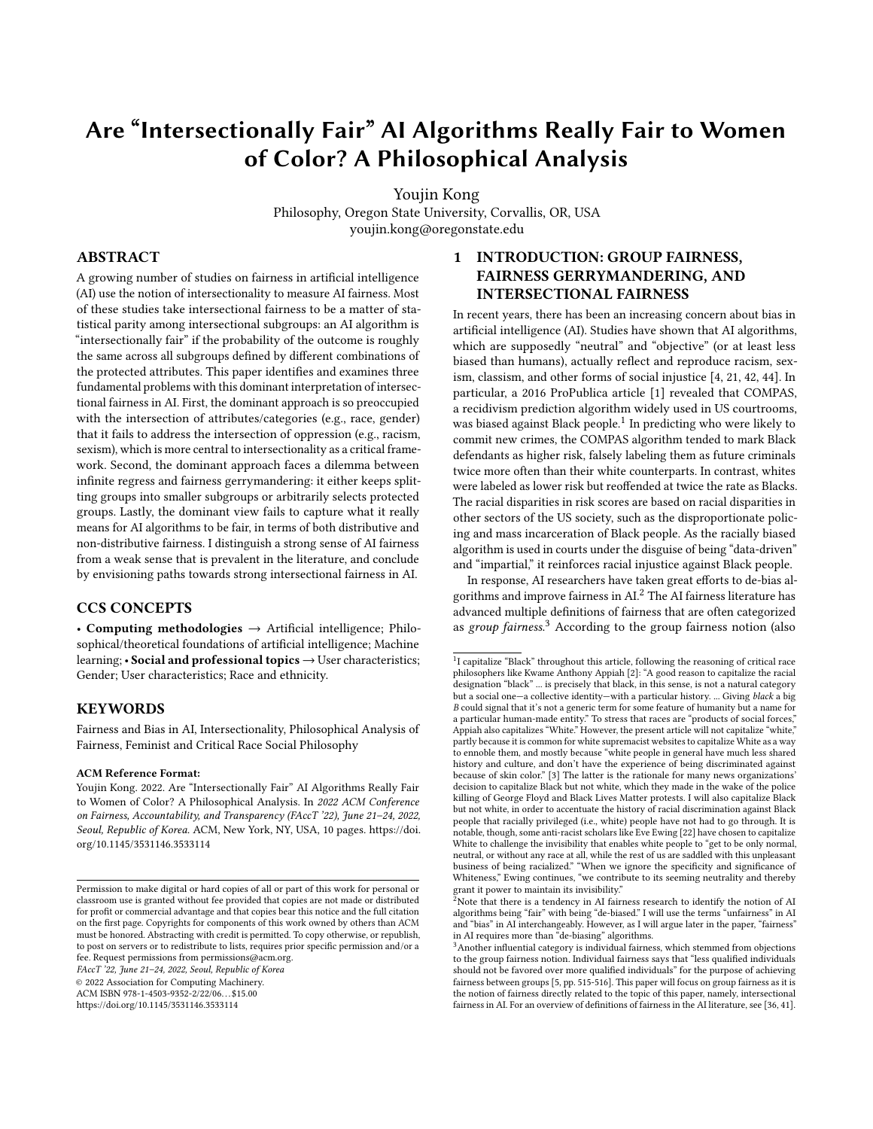# Are "Intersectionally Fair" AI Algorithms Really Fair to Women of Color? A Philosophical Analysis

Youjin Kong

Philosophy, Oregon State University, Corvallis, OR, USA youjin.kong@oregonstate.edu

## ABSTRACT

A growing number of studies on fairness in artificial intelligence (AI) use the notion of intersectionality to measure AI fairness. Most of these studies take intersectional fairness to be a matter of statistical parity among intersectional subgroups: an AI algorithm is "intersectionally fair" if the probability of the outcome is roughly the same across all subgroups defined by different combinations of the protected attributes. This paper identifies and examines three fundamental problems with this dominant interpretation of intersectional fairness in AI. First, the dominant approach is so preoccupied with the intersection of attributes/categories (e.g., race, gender) that it fails to address the intersection of oppression (e.g., racism, sexism), which is more central to intersectionality as a critical framework. Second, the dominant approach faces a dilemma between infinite regress and fairness gerrymandering: it either keeps splitting groups into smaller subgroups or arbitrarily selects protected groups. Lastly, the dominant view fails to capture what it really means for AI algorithms to be fair, in terms of both distributive and non-distributive fairness. I distinguish a strong sense of AI fairness from a weak sense that is prevalent in the literature, and conclude by envisioning paths towards strong intersectional fairness in AI.

#### CCS CONCEPTS

• Computing methodologies  $\rightarrow$  Artificial intelligence; Philosophical/theoretical foundations of artificial intelligence; Machine learning; • Social and professional topics → User characteristics; Gender; User characteristics; Race and ethnicity.

### **KEYWORDS**

Fairness and Bias in AI, Intersectionality, Philosophical Analysis of Fairness, Feminist and Critical Race Social Philosophy

#### ACM Reference Format:

Youjin Kong. 2022. Are "Intersectionally Fair" AI Algorithms Really Fair to Women of Color? A Philosophical Analysis. In 2022 ACM Conference on Fairness, Accountability, and Transparency (FAccT '22), June 21–24, 2022, Seoul, Republic of Korea. ACM, New York, NY, USA, [10](#page-9-0) pages. [https://doi.](https://doi.org/10.1145/3531146.3533114) [org/10.1145/3531146.3533114](https://doi.org/10.1145/3531146.3533114)

FAccT '22, June 21–24, 2022, Seoul, Republic of Korea

© 2022 Association for Computing Machinery.

ACM ISBN 978-1-4503-9352-2/22/06. . . \$15.00

<https://doi.org/10.1145/3531146.3533114>

# 1 INTRODUCTION: GROUP FAIRNESS, FAIRNESS GERRYMANDERING, AND INTERSECTIONAL FAIRNESS

In recent years, there has been an increasing concern about bias in artificial intelligence (AI). Studies have shown that AI algorithms, which are supposedly "neutral" and "objective" (or at least less biased than humans), actually reflect and reproduce racism, sexism, classism, and other forms of social injustice [\[4,](#page-8-0) [21,](#page-8-1) [42,](#page-9-1) [44\]](#page-9-2). In particular, a 2016 ProPublica article [\[1\]](#page-8-2) revealed that COMPAS, a recidivism prediction algorithm widely used in US courtrooms, was biased against Black people.[1](#page-0-0) In predicting who were likely to commit new crimes, the COMPAS algorithm tended to mark Black defendants as higher risk, falsely labeling them as future criminals twice more often than their white counterparts. In contrast, whites were labeled as lower risk but reoffended at twice the rate as Blacks. The racial disparities in risk scores are based on racial disparities in other sectors of the US society, such as the disproportionate policing and mass incarceration of Black people. As the racially biased algorithm is used in courts under the disguise of being "data-driven" and "impartial," it reinforces racial injustice against Black people.

In response, AI researchers have taken great efforts to de-bias algorithms and improve fairness in  $\mathbf{AL}^2$  $\mathbf{AL}^2$  The AI fairness literature has advanced multiple definitions of fairness that are often categorized as group fairness.<sup>[3](#page-0-2)</sup> According to the group fairness notion (also

Permission to make digital or hard copies of all or part of this work for personal or classroom use is granted without fee provided that copies are not made or distributed for profit or commercial advantage and that copies bear this notice and the full citation on the first page. Copyrights for components of this work owned by others than ACM must be honored. Abstracting with credit is permitted. To copy otherwise, or republish, to post on servers or to redistribute to lists, requires prior specific permission and/or a fee. Request permissions from permissions@acm.org.

<span id="page-0-0"></span> $1$ I capitalize "Black" throughout this article, following the reasoning of critical race philosophers like Kwame Anthony Appiah [\[2\]](#page-8-3): "A good reason to capitalize the racial designation "black" ... is precisely that black, in this sense, is not a natural category but a social one—a collective identity—with a particular history. ... Giving black a big B could signal that it's not a generic term for some feature of humanity but a name for a particular human-made entity." To stress that races are "products of social forces," Appiah also capitalizes "White." However, the present article will not capitalize "white," partly because it is common for white supremacist websites to capitalize White as a way to ennoble them, and mostly because "white people in general have much less shared history and culture, and don't have the experience of being discriminated against because of skin color." [\[3\]](#page-8-4) The latter is the rationale for many news organizations' decision to capitalize Black but not white, which they made in the wake of the police killing of George Floyd and Black Lives Matter protests. I will also capitalize Black but not white, in order to accentuate the history of racial discrimination against Black people that racially privileged (i.e., white) people have not had to go through. It is notable, though, some anti-racist scholars like Eve Ewing [\[22\]](#page-8-5) have chosen to capitalize White to challenge the invisibility that enables white people to "get to be only normal, neutral, or without any race at all, while the rest of us are saddled with this unpleasant business of being racialized." "When we ignore the specificity and significance of Whiteness," Ewing continues, "we contribute to its seeming neutrality and thereby grant it power to maintain its invisibility." <sup>2</sup>Note that there is a tendency in AI fairness research to identify the notion of AI

<span id="page-0-1"></span>algorithms being "fair" with being "de-biased." I will use the terms "unfairness" in AI and "bias" in AI interchangeably. However, as I will argue later in the paper, "fairness" in AI requires more than "de-biasing" algorithms.

<span id="page-0-2"></span> $3$ Another influential category is individual fairness, which stemmed from objections to the group fairness notion. Individual fairness says that "less qualified individuals should not be favored over more qualified individuals" for the purpose of achieving fairness between groups [\[5,](#page-8-6) pp. 515-516]. This paper will focus on group fairness as it is the notion of fairness directly related to the topic of this paper, namely, intersectional fairness in AI. For an overview of definitions of fairness in the AI literature, see [\[36,](#page-9-3) [41\]](#page-9-4).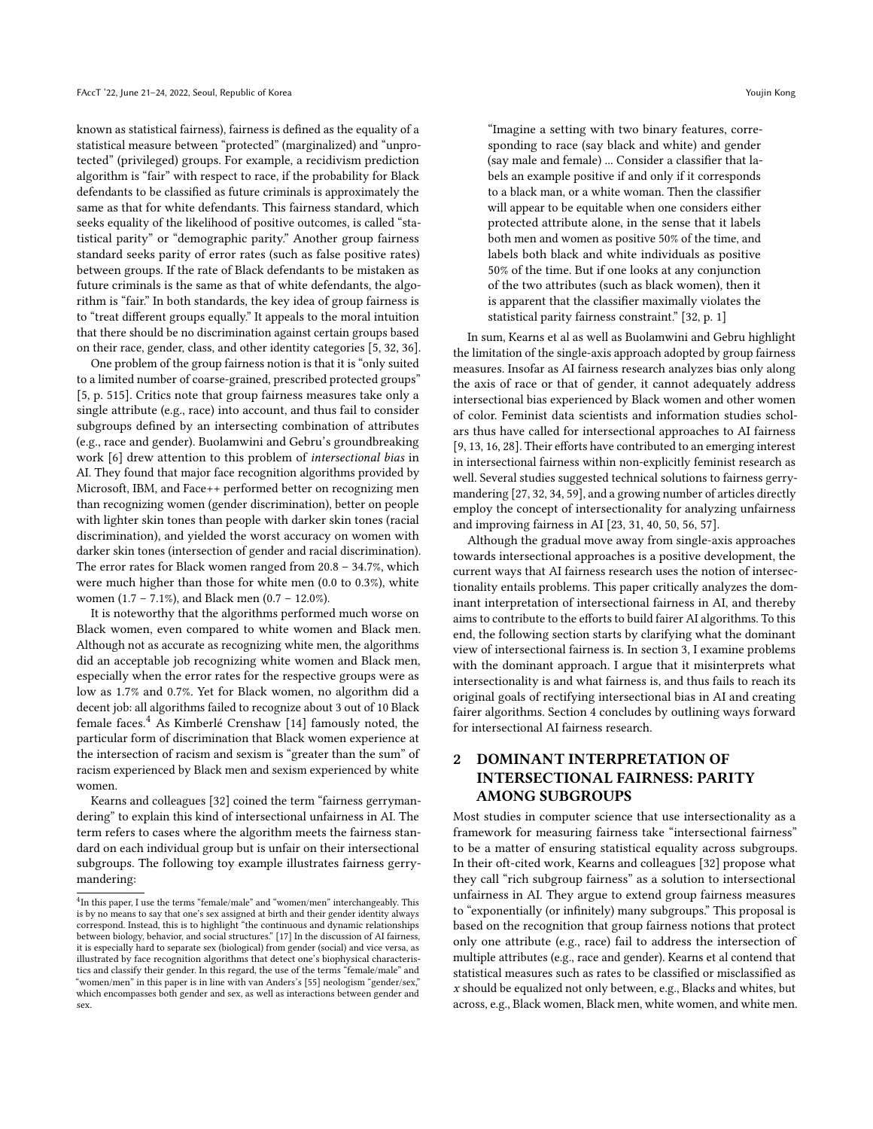known as statistical fairness), fairness is defined as the equality of a statistical measure between "protected" (marginalized) and "unprotected" (privileged) groups. For example, a recidivism prediction algorithm is "fair" with respect to race, if the probability for Black defendants to be classified as future criminals is approximately the same as that for white defendants. This fairness standard, which seeks equality of the likelihood of positive outcomes, is called "statistical parity" or "demographic parity." Another group fairness standard seeks parity of error rates (such as false positive rates) between groups. If the rate of Black defendants to be mistaken as future criminals is the same as that of white defendants, the algorithm is "fair." In both standards, the key idea of group fairness is to "treat different groups equally." It appeals to the moral intuition that there should be no discrimination against certain groups based on their race, gender, class, and other identity categories [\[5,](#page-8-6) [32,](#page-9-5) [36\]](#page-9-3).

One problem of the group fairness notion is that it is "only suited to a limited number of coarse-grained, prescribed protected groups" [\[5,](#page-8-6) p. 515]. Critics note that group fairness measures take only a single attribute (e.g., race) into account, and thus fail to consider subgroups defined by an intersecting combination of attributes (e.g., race and gender). Buolamwini and Gebru's groundbreaking work [\[6\]](#page-8-7) drew attention to this problem of intersectional bias in AI. They found that major face recognition algorithms provided by Microsoft, IBM, and Face++ performed better on recognizing men than recognizing women (gender discrimination), better on people with lighter skin tones than people with darker skin tones (racial discrimination), and yielded the worst accuracy on women with darker skin tones (intersection of gender and racial discrimination). The error rates for Black women ranged from 20.8 – 34.7%, which were much higher than those for white men (0.0 to 0.3%), white women (1.7 – 7.1%), and Black men (0.7 – 12.0%).

It is noteworthy that the algorithms performed much worse on Black women, even compared to white women and Black men. Although not as accurate as recognizing white men, the algorithms did an acceptable job recognizing white women and Black men, especially when the error rates for the respective groups were as low as 1.7% and 0.7%. Yet for Black women, no algorithm did a decent job: all algorithms failed to recognize about 3 out of 10 Black female faces.<sup>[4](#page-1-0)</sup> As Kimberlé Crenshaw [\[14\]](#page-8-8) famously noted, the particular form of discrimination that Black women experience at the intersection of racism and sexism is "greater than the sum" of racism experienced by Black men and sexism experienced by white women.

Kearns and colleagues [\[32\]](#page-9-5) coined the term "fairness gerrymandering" to explain this kind of intersectional unfairness in AI. The term refers to cases where the algorithm meets the fairness standard on each individual group but is unfair on their intersectional subgroups. The following toy example illustrates fairness gerrymandering:

"Imagine a setting with two binary features, corresponding to race (say black and white) and gender (say male and female) ... Consider a classifier that labels an example positive if and only if it corresponds to a black man, or a white woman. Then the classifier will appear to be equitable when one considers either protected attribute alone, in the sense that it labels both men and women as positive 50% of the time, and labels both black and white individuals as positive 50% of the time. But if one looks at any conjunction of the two attributes (such as black women), then it is apparent that the classifier maximally violates the statistical parity fairness constraint." [\[32,](#page-9-5) p. 1]

In sum, Kearns et al as well as Buolamwini and Gebru highlight the limitation of the single-axis approach adopted by group fairness measures. Insofar as AI fairness research analyzes bias only along the axis of race or that of gender, it cannot adequately address intersectional bias experienced by Black women and other women of color. Feminist data scientists and information studies scholars thus have called for intersectional approaches to AI fairness [\[9,](#page-8-10) [13,](#page-8-11) [16,](#page-8-12) [28\]](#page-9-7). Their efforts have contributed to an emerging interest in intersectional fairness within non-explicitly feminist research as well. Several studies suggested technical solutions to fairness gerrymandering [\[27,](#page-9-8) [32,](#page-9-5) [34,](#page-9-9) [59\]](#page-9-10), and a growing number of articles directly employ the concept of intersectionality for analyzing unfairness and improving fairness in AI [\[23,](#page-9-11) [31,](#page-9-12) [40,](#page-9-13) [50,](#page-9-14) [56,](#page-9-15) [57\]](#page-9-16).

Although the gradual move away from single-axis approaches towards intersectional approaches is a positive development, the current ways that AI fairness research uses the notion of intersectionality entails problems. This paper critically analyzes the dominant interpretation of intersectional fairness in AI, and thereby aims to contribute to the efforts to build fairer AI algorithms. To this end, the following section starts by clarifying what the dominant view of intersectional fairness is. In section 3, I examine problems with the dominant approach. I argue that it misinterprets what intersectionality is and what fairness is, and thus fails to reach its original goals of rectifying intersectional bias in AI and creating fairer algorithms. Section 4 concludes by outlining ways forward for intersectional AI fairness research.

# 2 DOMINANT INTERPRETATION OF INTERSECTIONAL FAIRNESS: PARITY AMONG SUBGROUPS

Most studies in computer science that use intersectionality as a framework for measuring fairness take "intersectional fairness" to be a matter of ensuring statistical equality across subgroups. In their oft-cited work, Kearns and colleagues [\[32\]](#page-9-5) propose what they call "rich subgroup fairness" as a solution to intersectional unfairness in AI. They argue to extend group fairness measures to "exponentially (or infinitely) many subgroups." This proposal is based on the recognition that group fairness notions that protect only one attribute (e.g., race) fail to address the intersection of multiple attributes (e.g., race and gender). Kearns et al contend that statistical measures such as rates to be classified or misclassified as  $x$  should be equalized not only between, e.g., Blacks and whites, but across, e.g., Black women, Black men, white women, and white men.

<span id="page-1-0"></span><sup>&</sup>lt;sup>4</sup>In this paper. I use the terms "female/male" and "women/men" interchangeably. This is by no means to say that one's sex assigned at birth and their gender identity always correspond. Instead, this is to highlight "the continuous and dynamic relationships between biology, behavior, and social structures." [\[17\]](#page-8-9) In the discussion of AI fairness, it is especially hard to separate sex (biological) from gender (social) and vice versa, as illustrated by face recognition algorithms that detect one's biophysical characteristics and classify their gender. In this regard, the use of the terms "female/male" and "women/men" in this paper is in line with van Anders's [\[55\]](#page-9-6) neologism "gender/sex," which encompasses both gender and sex, as well as interactions between gender and sex.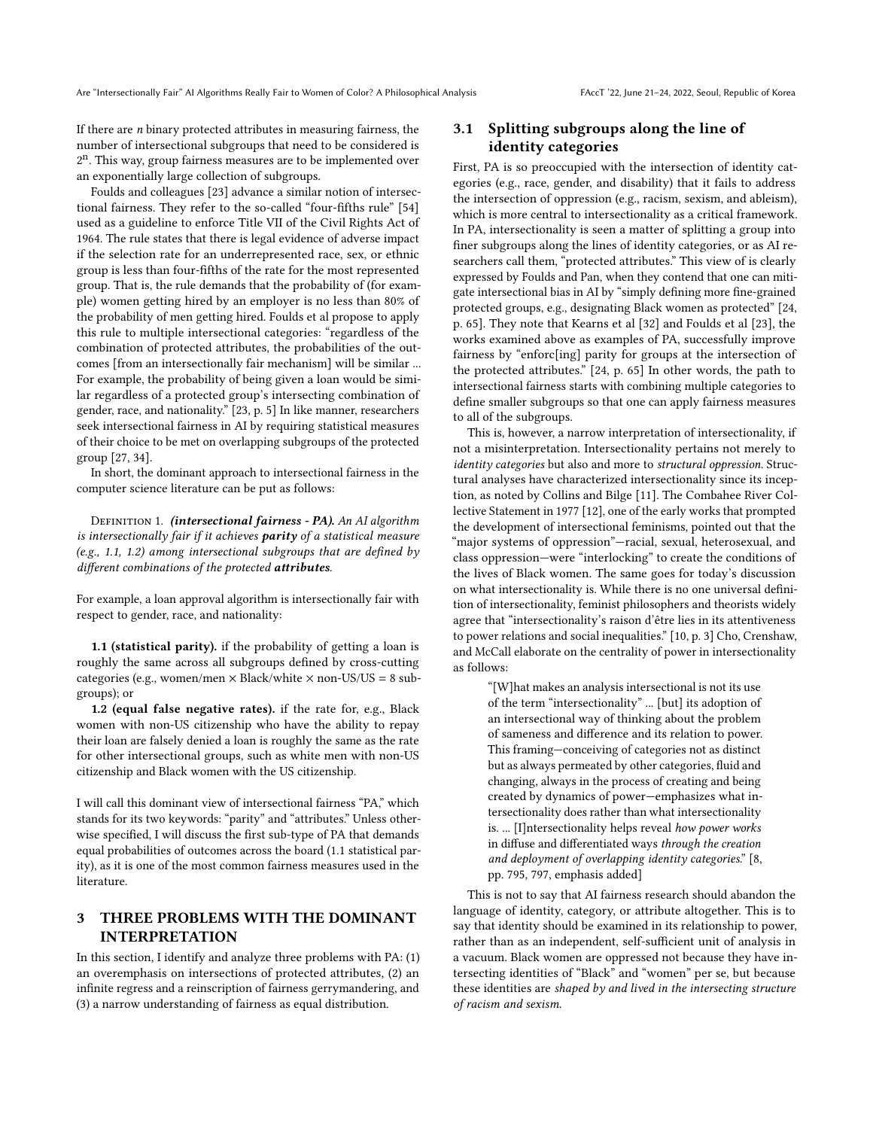If there are  $n$  binary protected attributes in measuring fairness, the number of intersectional subgroups that need to be considered is 2 n . This way, group fairness measures are to be implemented over an exponentially large collection of subgroups.

Foulds and colleagues [\[23\]](#page-9-11) advance a similar notion of intersectional fairness. They refer to the so-called "four-fifths rule" [\[54\]](#page-9-17) used as a guideline to enforce Title VII of the Civil Rights Act of 1964. The rule states that there is legal evidence of adverse impact if the selection rate for an underrepresented race, sex, or ethnic group is less than four-fifths of the rate for the most represented group. That is, the rule demands that the probability of (for example) women getting hired by an employer is no less than 80% of the probability of men getting hired. Foulds et al propose to apply this rule to multiple intersectional categories: "regardless of the combination of protected attributes, the probabilities of the outcomes [from an intersectionally fair mechanism] will be similar ... For example, the probability of being given a loan would be similar regardless of a protected group's intersecting combination of gender, race, and nationality." [\[23,](#page-9-11) p. 5] In like manner, researchers seek intersectional fairness in AI by requiring statistical measures of their choice to be met on overlapping subgroups of the protected group [\[27,](#page-9-8) [34\]](#page-9-9).

In short, the dominant approach to intersectional fairness in the computer science literature can be put as follows:

DEFINITION 1. (intersectional fairness - PA). An AI algorithm is intersectionally fair if it achieves parity of a statistical measure (e.g., 1.1, 1.2) among intersectional subgroups that are defined by different combinations of the protected attributes.

For example, a loan approval algorithm is intersectionally fair with respect to gender, race, and nationality:

1.1 (statistical parity). if the probability of getting a loan is roughly the same across all subgroups defined by cross-cutting categories (e.g., women/men  $\times$  Black/white  $\times$  non-US/US = 8 subgroups); or

1.2 (equal false negative rates). if the rate for, e.g., Black women with non-US citizenship who have the ability to repay their loan are falsely denied a loan is roughly the same as the rate for other intersectional groups, such as white men with non-US citizenship and Black women with the US citizenship.

I will call this dominant view of intersectional fairness "PA," which stands for its two keywords: "parity" and "attributes." Unless otherwise specified, I will discuss the first sub-type of PA that demands equal probabilities of outcomes across the board (1.1 statistical parity), as it is one of the most common fairness measures used in the literature.

# 3 THREE PROBLEMS WITH THE DOMINANT INTERPRETATION

In this section, I identify and analyze three problems with PA: (1) an overemphasis on intersections of protected attributes, (2) an infinite regress and a reinscription of fairness gerrymandering, and (3) a narrow understanding of fairness as equal distribution.

## 3.1 Splitting subgroups along the line of identity categories

First, PA is so preoccupied with the intersection of identity categories (e.g., race, gender, and disability) that it fails to address the intersection of oppression (e.g., racism, sexism, and ableism), which is more central to intersectionality as a critical framework. In PA, intersectionality is seen a matter of splitting a group into finer subgroups along the lines of identity categories, or as AI researchers call them, "protected attributes." This view of is clearly expressed by Foulds and Pan, when they contend that one can mitigate intersectional bias in AI by "simply defining more fine-grained protected groups, e.g., designating Black women as protected" [\[24,](#page-9-18) p. 65]. They note that Kearns et al [\[32\]](#page-9-5) and Foulds et al [\[23\]](#page-9-11), the works examined above as examples of PA, successfully improve fairness by "enforc[ing] parity for groups at the intersection of the protected attributes." [\[24,](#page-9-18) p. 65] In other words, the path to intersectional fairness starts with combining multiple categories to define smaller subgroups so that one can apply fairness measures to all of the subgroups.

This is, however, a narrow interpretation of intersectionality, if not a misinterpretation. Intersectionality pertains not merely to identity categories but also and more to structural oppression. Structural analyses have characterized intersectionality since its inception, as noted by Collins and Bilge [\[11\]](#page-8-13). The Combahee River Collective Statement in 1977 [\[12\]](#page-8-14), one of the early works that prompted the development of intersectional feminisms, pointed out that the "major systems of oppression"—racial, sexual, heterosexual, and class oppression—were "interlocking" to create the conditions of the lives of Black women. The same goes for today's discussion on what intersectionality is. While there is no one universal definition of intersectionality, feminist philosophers and theorists widely agree that "intersectionality's raison d'être lies in its attentiveness to power relations and social inequalities." [\[10,](#page-8-15) p. 3] Cho, Crenshaw, and McCall elaborate on the centrality of power in intersectionality as follows:

> "[W]hat makes an analysis intersectional is not its use of the term "intersectionality" ... [but] its adoption of an intersectional way of thinking about the problem of sameness and difference and its relation to power. This framing—conceiving of categories not as distinct but as always permeated by other categories, fluid and changing, always in the process of creating and being created by dynamics of power—emphasizes what intersectionality does rather than what intersectionality is. ... [I]ntersectionality helps reveal how power works in diffuse and differentiated ways through the creation and deployment of overlapping identity categories." [\[8,](#page-8-16) pp. 795, 797, emphasis added]

This is not to say that AI fairness research should abandon the language of identity, category, or attribute altogether. This is to say that identity should be examined in its relationship to power, rather than as an independent, self-sufficient unit of analysis in a vacuum. Black women are oppressed not because they have intersecting identities of "Black" and "women" per se, but because these identities are shaped by and lived in the intersecting structure of racism and sexism.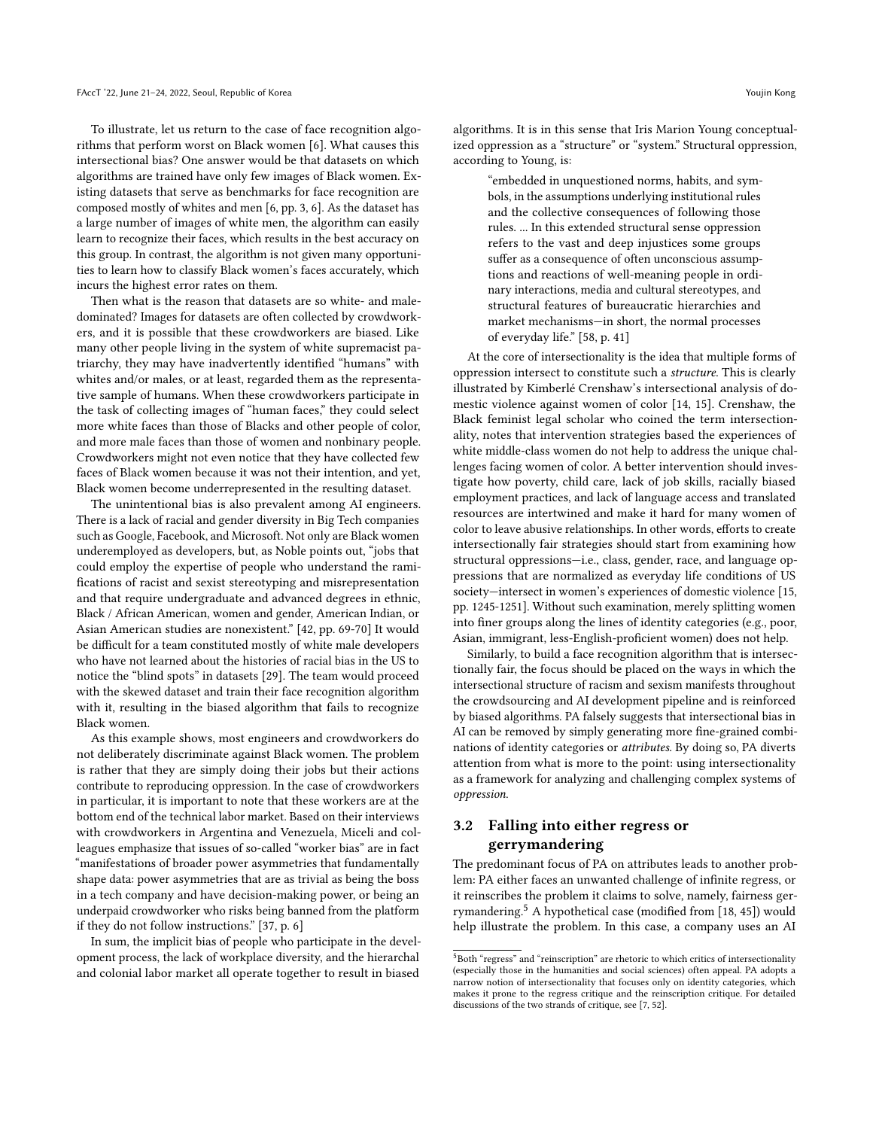To illustrate, let us return to the case of face recognition algorithms that perform worst on Black women [\[6\]](#page-8-7). What causes this intersectional bias? One answer would be that datasets on which algorithms are trained have only few images of Black women. Existing datasets that serve as benchmarks for face recognition are composed mostly of whites and men [\[6,](#page-8-7) pp. 3, 6]. As the dataset has a large number of images of white men, the algorithm can easily learn to recognize their faces, which results in the best accuracy on this group. In contrast, the algorithm is not given many opportunities to learn how to classify Black women's faces accurately, which incurs the highest error rates on them.

Then what is the reason that datasets are so white- and maledominated? Images for datasets are often collected by crowdworkers, and it is possible that these crowdworkers are biased. Like many other people living in the system of white supremacist patriarchy, they may have inadvertently identified "humans" with whites and/or males, or at least, regarded them as the representative sample of humans. When these crowdworkers participate in the task of collecting images of "human faces," they could select more white faces than those of Blacks and other people of color, and more male faces than those of women and nonbinary people. Crowdworkers might not even notice that they have collected few faces of Black women because it was not their intention, and yet, Black women become underrepresented in the resulting dataset.

The unintentional bias is also prevalent among AI engineers. There is a lack of racial and gender diversity in Big Tech companies such as Google, Facebook, and Microsoft. Not only are Black women underemployed as developers, but, as Noble points out, "jobs that could employ the expertise of people who understand the ramifications of racist and sexist stereotyping and misrepresentation and that require undergraduate and advanced degrees in ethnic, Black / African American, women and gender, American Indian, or Asian American studies are nonexistent." [\[42,](#page-9-1) pp. 69-70] It would be difficult for a team constituted mostly of white male developers who have not learned about the histories of racial bias in the US to notice the "blind spots" in datasets [\[29\]](#page-9-19). The team would proceed with the skewed dataset and train their face recognition algorithm with it, resulting in the biased algorithm that fails to recognize Black women.

As this example shows, most engineers and crowdworkers do not deliberately discriminate against Black women. The problem is rather that they are simply doing their jobs but their actions contribute to reproducing oppression. In the case of crowdworkers in particular, it is important to note that these workers are at the bottom end of the technical labor market. Based on their interviews with crowdworkers in Argentina and Venezuela, Miceli and colleagues emphasize that issues of so-called "worker bias" are in fact "manifestations of broader power asymmetries that fundamentally shape data: power asymmetries that are as trivial as being the boss in a tech company and have decision-making power, or being an underpaid crowdworker who risks being banned from the platform if they do not follow instructions." [\[37,](#page-9-20) p. 6]

In sum, the implicit bias of people who participate in the development process, the lack of workplace diversity, and the hierarchal and colonial labor market all operate together to result in biased

algorithms. It is in this sense that Iris Marion Young conceptualized oppression as a "structure" or "system." Structural oppression, according to Young, is:

> "embedded in unquestioned norms, habits, and symbols, in the assumptions underlying institutional rules and the collective consequences of following those rules. ... In this extended structural sense oppression refers to the vast and deep injustices some groups suffer as a consequence of often unconscious assumptions and reactions of well-meaning people in ordinary interactions, media and cultural stereotypes, and structural features of bureaucratic hierarchies and market mechanisms—in short, the normal processes of everyday life." [\[58,](#page-9-21) p. 41]

At the core of intersectionality is the idea that multiple forms of oppression intersect to constitute such a structure. This is clearly illustrated by Kimberlé Crenshaw's intersectional analysis of domestic violence against women of color [\[14,](#page-8-8) [15\]](#page-8-17). Crenshaw, the Black feminist legal scholar who coined the term intersectionality, notes that intervention strategies based the experiences of white middle-class women do not help to address the unique challenges facing women of color. A better intervention should investigate how poverty, child care, lack of job skills, racially biased employment practices, and lack of language access and translated resources are intertwined and make it hard for many women of color to leave abusive relationships. In other words, efforts to create intersectionally fair strategies should start from examining how structural oppressions—i.e., class, gender, race, and language oppressions that are normalized as everyday life conditions of US society—intersect in women's experiences of domestic violence [\[15,](#page-8-17) pp. 1245-1251]. Without such examination, merely splitting women into finer groups along the lines of identity categories (e.g., poor, Asian, immigrant, less-English-proficient women) does not help.

Similarly, to build a face recognition algorithm that is intersectionally fair, the focus should be placed on the ways in which the intersectional structure of racism and sexism manifests throughout the crowdsourcing and AI development pipeline and is reinforced by biased algorithms. PA falsely suggests that intersectional bias in AI can be removed by simply generating more fine-grained combinations of identity categories or attributes. By doing so, PA diverts attention from what is more to the point: using intersectionality as a framework for analyzing and challenging complex systems of oppression.

# 3.2 Falling into either regress or gerrymandering

The predominant focus of PA on attributes leads to another problem: PA either faces an unwanted challenge of infinite regress, or it reinscribes the problem it claims to solve, namely, fairness gerrymandering.[5](#page-3-0) A hypothetical case (modified from [\[18,](#page-8-18) [45\]](#page-9-22)) would help illustrate the problem. In this case, a company uses an AI

<span id="page-3-0"></span><sup>&</sup>lt;sup>5</sup>Both "regress" and "reinscription" are rhetoric to which critics of intersectionality (especially those in the humanities and social sciences) often appeal. PA adopts a narrow notion of intersectionality that focuses only on identity categories, which makes it prone to the regress critique and the reinscription critique. For detailed discussions of the two strands of critique, see [\[7,](#page-8-19) [52\]](#page-9-23).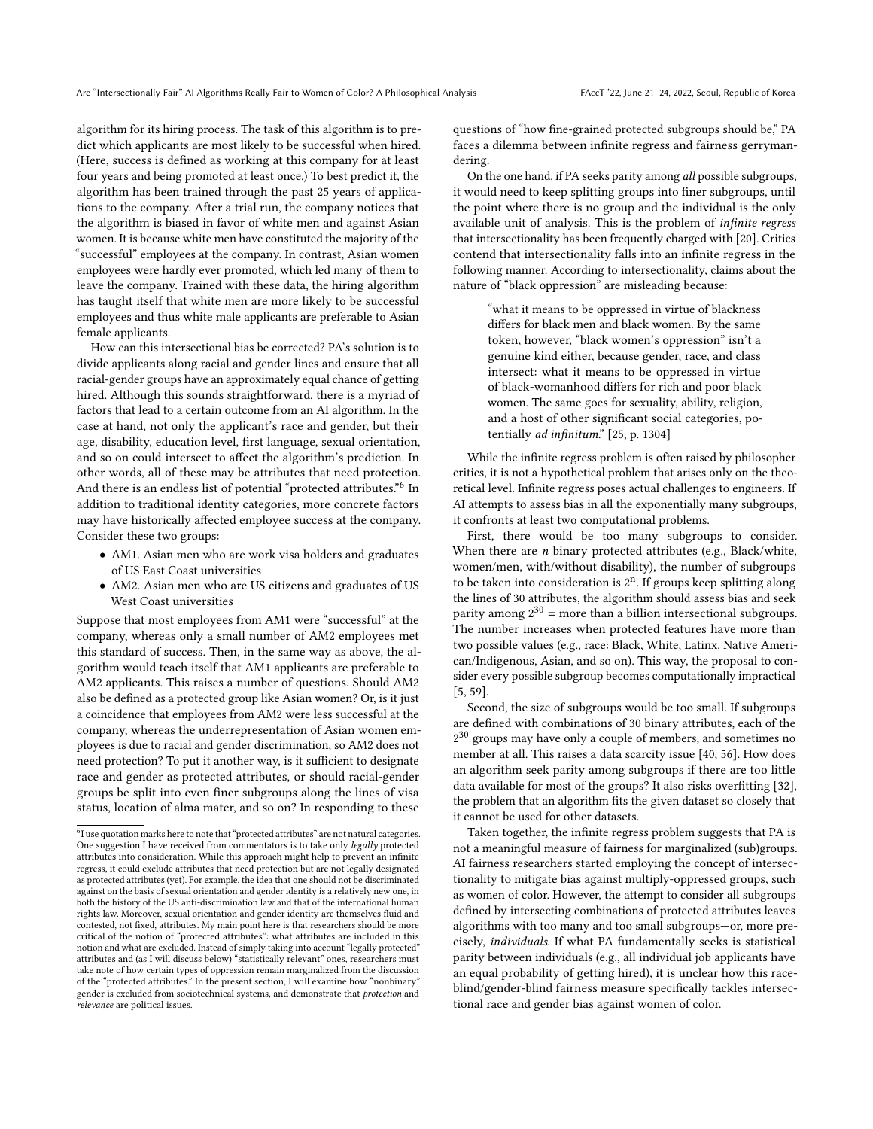algorithm for its hiring process. The task of this algorithm is to predict which applicants are most likely to be successful when hired. (Here, success is defined as working at this company for at least four years and being promoted at least once.) To best predict it, the algorithm has been trained through the past 25 years of applications to the company. After a trial run, the company notices that the algorithm is biased in favor of white men and against Asian women. It is because white men have constituted the majority of the "successful" employees at the company. In contrast, Asian women employees were hardly ever promoted, which led many of them to leave the company. Trained with these data, the hiring algorithm has taught itself that white men are more likely to be successful employees and thus white male applicants are preferable to Asian female applicants.

How can this intersectional bias be corrected? PA's solution is to divide applicants along racial and gender lines and ensure that all racial-gender groups have an approximately equal chance of getting hired. Although this sounds straightforward, there is a myriad of factors that lead to a certain outcome from an AI algorithm. In the case at hand, not only the applicant's race and gender, but their age, disability, education level, first language, sexual orientation, and so on could intersect to affect the algorithm's prediction. In other words, all of these may be attributes that need protection. And there is an endless list of potential "protected attributes."<sup>[6](#page-4-0)</sup> In addition to traditional identity categories, more concrete factors may have historically affected employee success at the company. Consider these two groups:

- AM1. Asian men who are work visa holders and graduates of US East Coast universities
- AM2. Asian men who are US citizens and graduates of US West Coast universities

Suppose that most employees from AM1 were "successful" at the company, whereas only a small number of AM2 employees met this standard of success. Then, in the same way as above, the algorithm would teach itself that AM1 applicants are preferable to AM2 applicants. This raises a number of questions. Should AM2 also be defined as a protected group like Asian women? Or, is it just a coincidence that employees from AM2 were less successful at the company, whereas the underrepresentation of Asian women employees is due to racial and gender discrimination, so AM2 does not need protection? To put it another way, is it sufficient to designate race and gender as protected attributes, or should racial-gender groups be split into even finer subgroups along the lines of visa status, location of alma mater, and so on? In responding to these

questions of "how fine-grained protected subgroups should be," PA faces a dilemma between infinite regress and fairness gerrymandering.

On the one hand, if PA seeks parity among all possible subgroups, it would need to keep splitting groups into finer subgroups, until the point where there is no group and the individual is the only available unit of analysis. This is the problem of infinite regress that intersectionality has been frequently charged with [\[20\]](#page-8-20). Critics contend that intersectionality falls into an infinite regress in the following manner. According to intersectionality, claims about the nature of "black oppression" are misleading because:

> "what it means to be oppressed in virtue of blackness differs for black men and black women. By the same token, however, "black women's oppression" isn't a genuine kind either, because gender, race, and class intersect: what it means to be oppressed in virtue of black-womanhood differs for rich and poor black women. The same goes for sexuality, ability, religion, and a host of other significant social categories, po-tentially ad infinitum." [\[25,](#page-9-24) p. 1304]

While the infinite regress problem is often raised by philosopher critics, it is not a hypothetical problem that arises only on the theoretical level. Infinite regress poses actual challenges to engineers. If AI attempts to assess bias in all the exponentially many subgroups, it confronts at least two computational problems.

First, there would be too many subgroups to consider. When there are  $n$  binary protected attributes (e.g., Black/white, women/men, with/without disability), the number of subgroups to be taken into consideration is  $2^n$ . If groups keep splitting along the lines of 30 attributes, the algorithm should assess bias and seek parity among  $2^{30}$  = more than a billion intersectional subgroups. The number increases when protected features have more than two possible values (e.g., race: Black, White, Latinx, Native American/Indigenous, Asian, and so on). This way, the proposal to consider every possible subgroup becomes computationally impractical [\[5,](#page-8-6) [59\]](#page-9-10).

Second, the size of subgroups would be too small. If subgroups are defined with combinations of 30 binary attributes, each of the 2<sup>30</sup> groups may have only a couple of members, and sometimes no member at all. This raises a data scarcity issue [\[40,](#page-9-13) [56\]](#page-9-15). How does an algorithm seek parity among subgroups if there are too little data available for most of the groups? It also risks overfitting [\[32\]](#page-9-5), the problem that an algorithm fits the given dataset so closely that it cannot be used for other datasets.

Taken together, the infinite regress problem suggests that PA is not a meaningful measure of fairness for marginalized (sub)groups. AI fairness researchers started employing the concept of intersectionality to mitigate bias against multiply-oppressed groups, such as women of color. However, the attempt to consider all subgroups defined by intersecting combinations of protected attributes leaves algorithms with too many and too small subgroups—or, more precisely, individuals. If what PA fundamentally seeks is statistical parity between individuals (e.g., all individual job applicants have an equal probability of getting hired), it is unclear how this raceblind/gender-blind fairness measure specifically tackles intersectional race and gender bias against women of color.

<span id="page-4-0"></span> $^{6}$ I use quotation marks here to note that "protected attributes" are not natural categories. One suggestion I have received from commentators is to take only legally protected attributes into consideration. While this approach might help to prevent an infinite regress, it could exclude attributes that need protection but are not legally designated as protected attributes (yet). For example, the idea that one should not be discriminated against on the basis of sexual orientation and gender identity is a relatively new one, in both the history of the US anti-discrimination law and that of the international human rights law. Moreover, sexual orientation and gender identity are themselves fluid and contested, not fixed, attributes. My main point here is that researchers should be more critical of the notion of "protected attributes": what attributes are included in this notion and what are excluded. Instead of simply taking into account "legally protected" attributes and (as I will discuss below) "statistically relevant" ones, researchers must take note of how certain types of oppression remain marginalized from the discussion of the "protected attributes." In the present section, I will examine how "nonbinary" gender is excluded from sociotechnical systems, and demonstrate that protection and relevance are political issues.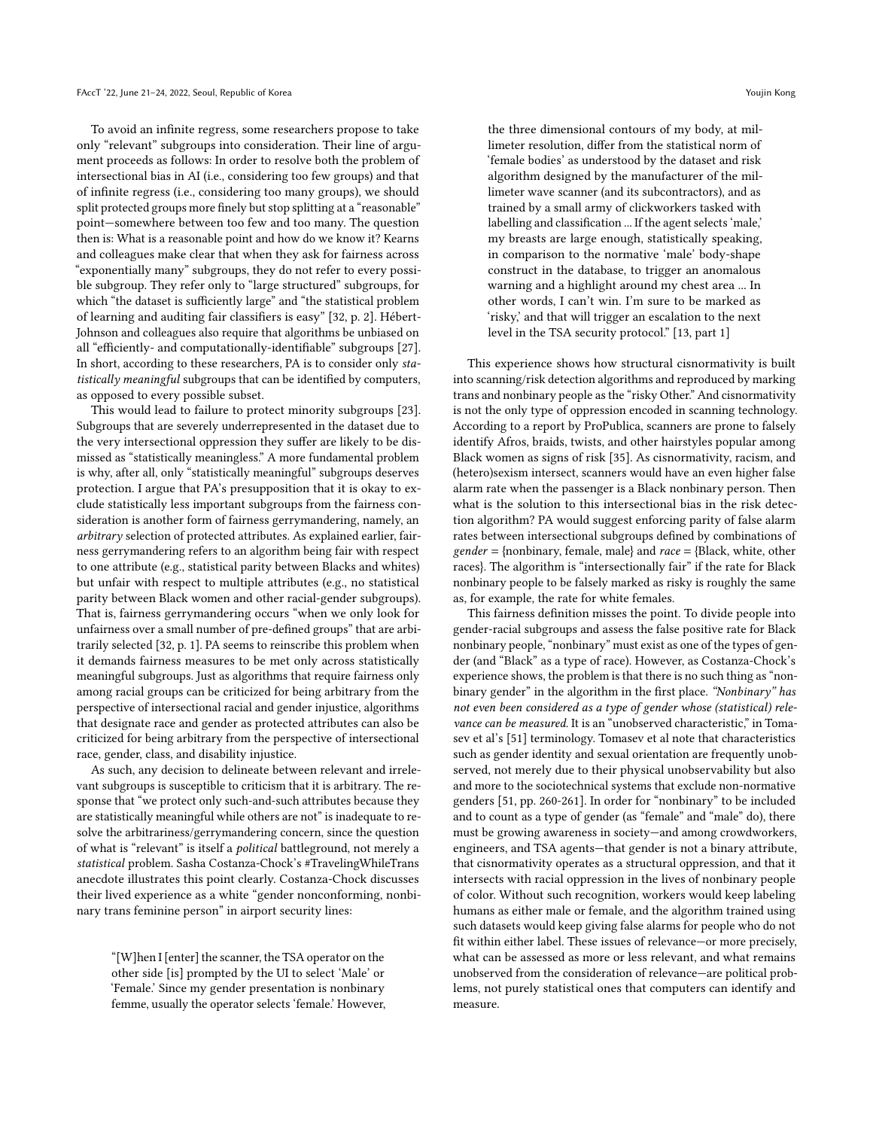To avoid an infinite regress, some researchers propose to take only "relevant" subgroups into consideration. Their line of argument proceeds as follows: In order to resolve both the problem of intersectional bias in AI (i.e., considering too few groups) and that of infinite regress (i.e., considering too many groups), we should split protected groups more finely but stop splitting at a "reasonable" point—somewhere between too few and too many. The question then is: What is a reasonable point and how do we know it? Kearns and colleagues make clear that when they ask for fairness across "exponentially many" subgroups, they do not refer to every possible subgroup. They refer only to "large structured" subgroups, for which "the dataset is sufficiently large" and "the statistical problem of learning and auditing fair classifiers is easy" [\[32,](#page-9-5) p. 2]. Hébert-Johnson and colleagues also require that algorithms be unbiased on all "efficiently- and computationally-identifiable" subgroups [\[27\]](#page-9-8). In short, according to these researchers, PA is to consider only statistically meaningful subgroups that can be identified by computers, as opposed to every possible subset.

This would lead to failure to protect minority subgroups [\[23\]](#page-9-11). Subgroups that are severely underrepresented in the dataset due to the very intersectional oppression they suffer are likely to be dismissed as "statistically meaningless." A more fundamental problem is why, after all, only "statistically meaningful" subgroups deserves protection. I argue that PA's presupposition that it is okay to exclude statistically less important subgroups from the fairness consideration is another form of fairness gerrymandering, namely, an arbitrary selection of protected attributes. As explained earlier, fairness gerrymandering refers to an algorithm being fair with respect to one attribute (e.g., statistical parity between Blacks and whites) but unfair with respect to multiple attributes (e.g., no statistical parity between Black women and other racial-gender subgroups). That is, fairness gerrymandering occurs "when we only look for unfairness over a small number of pre-defined groups" that are arbitrarily selected [\[32,](#page-9-5) p. 1]. PA seems to reinscribe this problem when it demands fairness measures to be met only across statistically meaningful subgroups. Just as algorithms that require fairness only among racial groups can be criticized for being arbitrary from the perspective of intersectional racial and gender injustice, algorithms that designate race and gender as protected attributes can also be criticized for being arbitrary from the perspective of intersectional race, gender, class, and disability injustice.

As such, any decision to delineate between relevant and irrelevant subgroups is susceptible to criticism that it is arbitrary. The response that "we protect only such-and-such attributes because they are statistically meaningful while others are not" is inadequate to resolve the arbitrariness/gerrymandering concern, since the question of what is "relevant" is itself a political battleground, not merely a statistical problem. Sasha Costanza-Chock's #TravelingWhileTrans anecdote illustrates this point clearly. Costanza-Chock discusses their lived experience as a white "gender nonconforming, nonbinary trans feminine person" in airport security lines:

"[W]hen I [enter] the scanner, the TSA operator on the other side [is] prompted by the UI to select 'Male' or 'Female.' Since my gender presentation is nonbinary femme, usually the operator selects 'female.' However,

the three dimensional contours of my body, at millimeter resolution, differ from the statistical norm of 'female bodies' as understood by the dataset and risk algorithm designed by the manufacturer of the millimeter wave scanner (and its subcontractors), and as trained by a small army of clickworkers tasked with labelling and classification ... If the agent selects 'male,' my breasts are large enough, statistically speaking, in comparison to the normative 'male' body-shape construct in the database, to trigger an anomalous warning and a highlight around my chest area ... In other words, I can't win. I'm sure to be marked as 'risky,' and that will trigger an escalation to the next level in the TSA security protocol." [\[13,](#page-8-11) part 1]

This experience shows how structural cisnormativity is built into scanning/risk detection algorithms and reproduced by marking trans and nonbinary people as the "risky Other." And cisnormativity is not the only type of oppression encoded in scanning technology. According to a report by ProPublica, scanners are prone to falsely identify Afros, braids, twists, and other hairstyles popular among Black women as signs of risk [\[35\]](#page-9-25). As cisnormativity, racism, and (hetero)sexism intersect, scanners would have an even higher false alarm rate when the passenger is a Black nonbinary person. Then what is the solution to this intersectional bias in the risk detection algorithm? PA would suggest enforcing parity of false alarm rates between intersectional subgroups defined by combinations of  $gender = \{nonbinary, female, male\}$  and  $race = \{Black, white, other$ races}. The algorithm is "intersectionally fair" if the rate for Black nonbinary people to be falsely marked as risky is roughly the same as, for example, the rate for white females.

This fairness definition misses the point. To divide people into gender-racial subgroups and assess the false positive rate for Black nonbinary people, "nonbinary" must exist as one of the types of gender (and "Black" as a type of race). However, as Costanza-Chock's experience shows, the problem is that there is no such thing as "nonbinary gender" in the algorithm in the first place. "Nonbinary" has not even been considered as a type of gender whose (statistical) relevance can be measured. It is an "unobserved characteristic," in Tomasev et al's [\[51\]](#page-9-26) terminology. Tomasev et al note that characteristics such as gender identity and sexual orientation are frequently unobserved, not merely due to their physical unobservability but also and more to the sociotechnical systems that exclude non-normative genders [\[51,](#page-9-26) pp. 260-261]. In order for "nonbinary" to be included and to count as a type of gender (as "female" and "male" do), there must be growing awareness in society—and among crowdworkers, engineers, and TSA agents—that gender is not a binary attribute, that cisnormativity operates as a structural oppression, and that it intersects with racial oppression in the lives of nonbinary people of color. Without such recognition, workers would keep labeling humans as either male or female, and the algorithm trained using such datasets would keep giving false alarms for people who do not fit within either label. These issues of relevance—or more precisely, what can be assessed as more or less relevant, and what remains unobserved from the consideration of relevance—are political problems, not purely statistical ones that computers can identify and measure.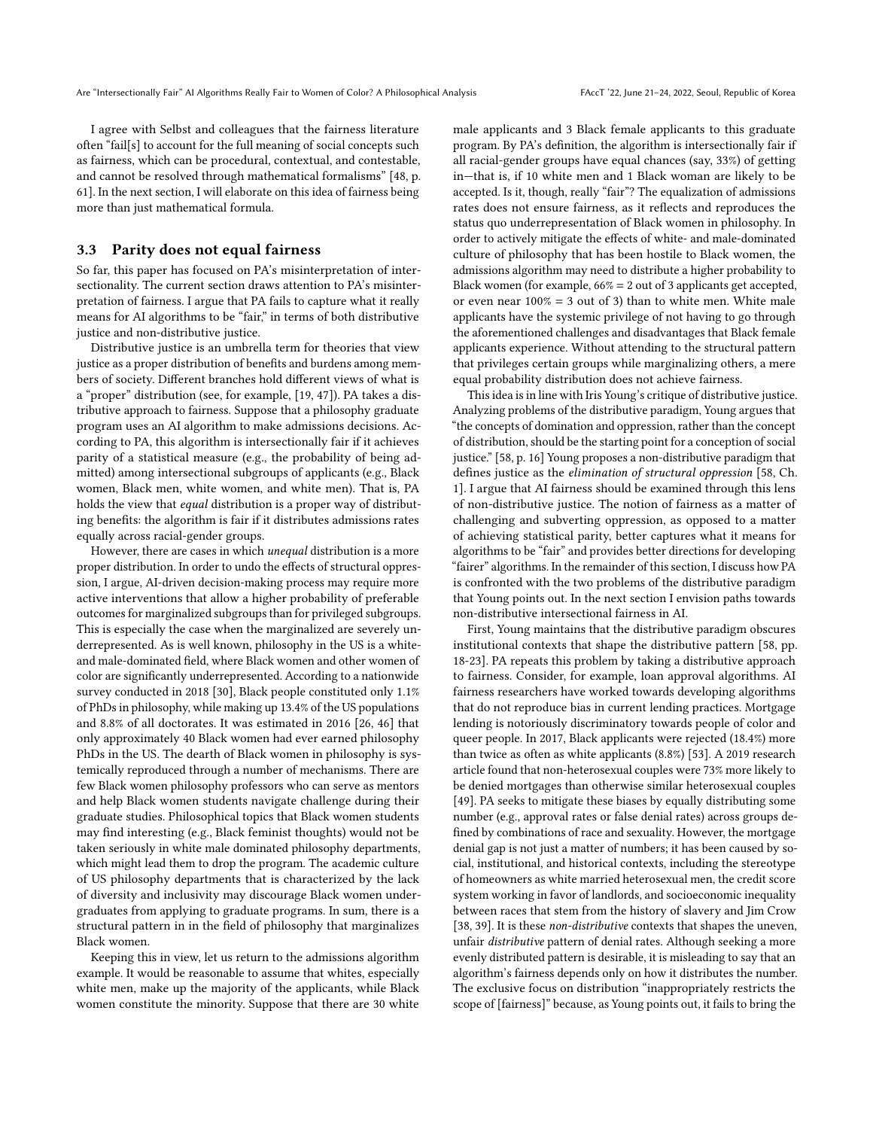I agree with Selbst and colleagues that the fairness literature often "fail[s] to account for the full meaning of social concepts such as fairness, which can be procedural, contextual, and contestable, and cannot be resolved through mathematical formalisms" [\[48,](#page-9-27) p. 61]. In the next section, I will elaborate on this idea of fairness being more than just mathematical formula.

#### 3.3 Parity does not equal fairness

So far, this paper has focused on PA's misinterpretation of intersectionality. The current section draws attention to PA's misinterpretation of fairness. I argue that PA fails to capture what it really means for AI algorithms to be "fair," in terms of both distributive justice and non-distributive justice.

Distributive justice is an umbrella term for theories that view justice as a proper distribution of benefits and burdens among members of society. Different branches hold different views of what is a "proper" distribution (see, for example, [\[19,](#page-8-21) [47\]](#page-9-28)). PA takes a distributive approach to fairness. Suppose that a philosophy graduate program uses an AI algorithm to make admissions decisions. According to PA, this algorithm is intersectionally fair if it achieves parity of a statistical measure (e.g., the probability of being admitted) among intersectional subgroups of applicants (e.g., Black women, Black men, white women, and white men). That is, PA holds the view that equal distribution is a proper way of distributing benefits: the algorithm is fair if it distributes admissions rates equally across racial-gender groups.

However, there are cases in which unequal distribution is a more proper distribution. In order to undo the effects of structural oppression, I argue, AI-driven decision-making process may require more active interventions that allow a higher probability of preferable outcomes for marginalized subgroups than for privileged subgroups. This is especially the case when the marginalized are severely underrepresented. As is well known, philosophy in the US is a whiteand male-dominated field, where Black women and other women of color are significantly underrepresented. According to a nationwide survey conducted in 2018 [\[30\]](#page-9-29), Black people constituted only 1.1% of PhDs in philosophy, while making up 13.4% of the US populations and 8.8% of all doctorates. It was estimated in 2016 [\[26,](#page-9-30) [46\]](#page-9-31) that only approximately 40 Black women had ever earned philosophy PhDs in the US. The dearth of Black women in philosophy is systemically reproduced through a number of mechanisms. There are few Black women philosophy professors who can serve as mentors and help Black women students navigate challenge during their graduate studies. Philosophical topics that Black women students may find interesting (e.g., Black feminist thoughts) would not be taken seriously in white male dominated philosophy departments, which might lead them to drop the program. The academic culture of US philosophy departments that is characterized by the lack of diversity and inclusivity may discourage Black women undergraduates from applying to graduate programs. In sum, there is a structural pattern in in the field of philosophy that marginalizes Black women.

Keeping this in view, let us return to the admissions algorithm example. It would be reasonable to assume that whites, especially white men, make up the majority of the applicants, while Black women constitute the minority. Suppose that there are 30 white male applicants and 3 Black female applicants to this graduate program. By PA's definition, the algorithm is intersectionally fair if all racial-gender groups have equal chances (say, 33%) of getting in—that is, if 10 white men and 1 Black woman are likely to be accepted. Is it, though, really "fair"? The equalization of admissions rates does not ensure fairness, as it reflects and reproduces the status quo underrepresentation of Black women in philosophy. In order to actively mitigate the effects of white- and male-dominated culture of philosophy that has been hostile to Black women, the admissions algorithm may need to distribute a higher probability to Black women (for example,  $66\% = 2$  out of 3 applicants get accepted, or even near  $100\% = 3$  out of 3) than to white men. White male applicants have the systemic privilege of not having to go through the aforementioned challenges and disadvantages that Black female applicants experience. Without attending to the structural pattern that privileges certain groups while marginalizing others, a mere equal probability distribution does not achieve fairness.

This idea is in line with Iris Young's critique of distributive justice. Analyzing problems of the distributive paradigm, Young argues that "the concepts of domination and oppression, rather than the concept of distribution, should be the starting point for a conception of social justice." [\[58,](#page-9-21) p. 16] Young proposes a non-distributive paradigm that defines justice as the elimination of structural oppression [\[58,](#page-9-21) Ch. 1]. I argue that AI fairness should be examined through this lens of non-distributive justice. The notion of fairness as a matter of challenging and subverting oppression, as opposed to a matter of achieving statistical parity, better captures what it means for algorithms to be "fair" and provides better directions for developing "fairer" algorithms. In the remainder of this section, I discuss how PA is confronted with the two problems of the distributive paradigm that Young points out. In the next section I envision paths towards non-distributive intersectional fairness in AI.

First, Young maintains that the distributive paradigm obscures institutional contexts that shape the distributive pattern [\[58,](#page-9-21) pp. 18-23]. PA repeats this problem by taking a distributive approach to fairness. Consider, for example, loan approval algorithms. AI fairness researchers have worked towards developing algorithms that do not reproduce bias in current lending practices. Mortgage lending is notoriously discriminatory towards people of color and queer people. In 2017, Black applicants were rejected (18.4%) more than twice as often as white applicants (8.8%) [\[53\]](#page-9-32). A 2019 research article found that non-heterosexual couples were 73% more likely to be denied mortgages than otherwise similar heterosexual couples [\[49\]](#page-9-33). PA seeks to mitigate these biases by equally distributing some number (e.g., approval rates or false denial rates) across groups defined by combinations of race and sexuality. However, the mortgage denial gap is not just a matter of numbers; it has been caused by social, institutional, and historical contexts, including the stereotype of homeowners as white married heterosexual men, the credit score system working in favor of landlords, and socioeconomic inequality between races that stem from the history of slavery and Jim Crow [\[38,](#page-9-34) [39\]](#page-9-35). It is these non-distributive contexts that shapes the uneven, unfair distributive pattern of denial rates. Although seeking a more evenly distributed pattern is desirable, it is misleading to say that an algorithm's fairness depends only on how it distributes the number. The exclusive focus on distribution "inappropriately restricts the scope of [fairness]" because, as Young points out, it fails to bring the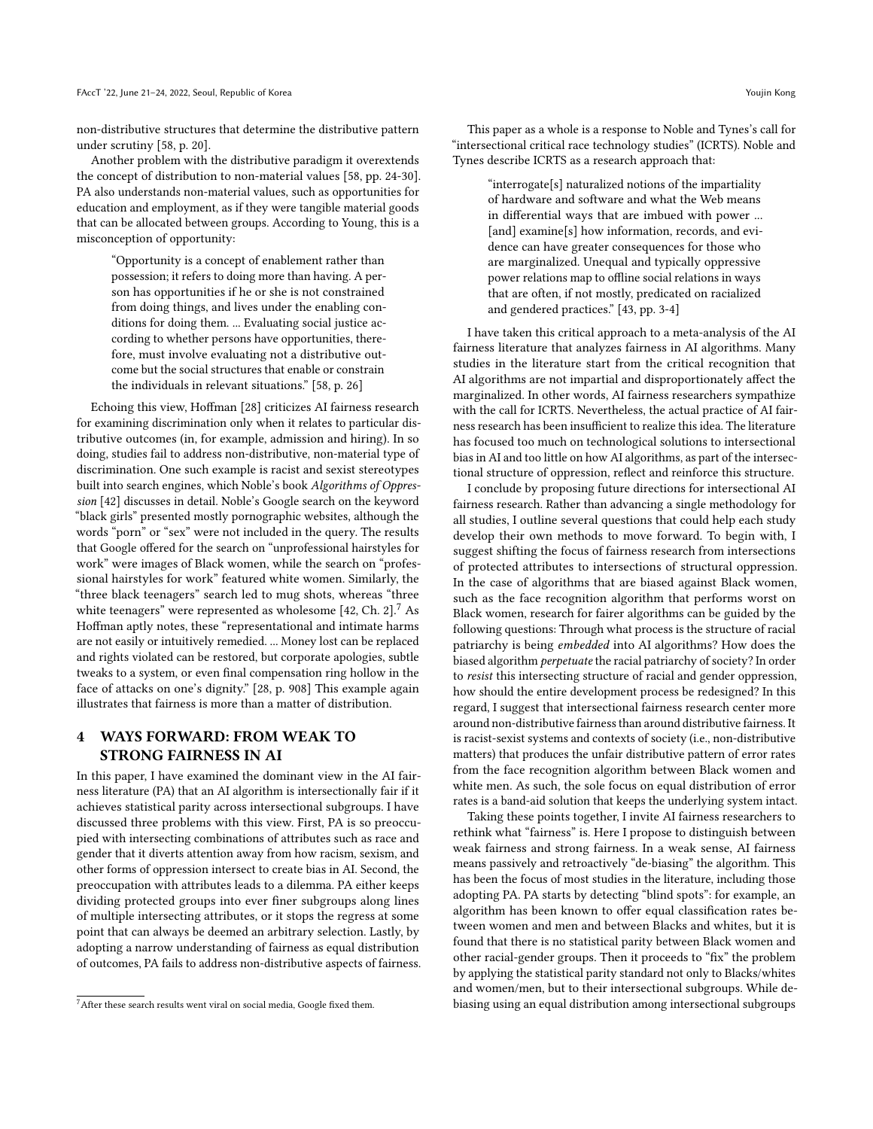non-distributive structures that determine the distributive pattern under scrutiny [\[58,](#page-9-21) p. 20].

Another problem with the distributive paradigm it overextends the concept of distribution to non-material values [\[58,](#page-9-21) pp. 24-30]. PA also understands non-material values, such as opportunities for education and employment, as if they were tangible material goods that can be allocated between groups. According to Young, this is a misconception of opportunity:

"Opportunity is a concept of enablement rather than possession; it refers to doing more than having. A person has opportunities if he or she is not constrained from doing things, and lives under the enabling conditions for doing them. ... Evaluating social justice according to whether persons have opportunities, therefore, must involve evaluating not a distributive outcome but the social structures that enable or constrain the individuals in relevant situations." [\[58,](#page-9-21) p. 26]

Echoing this view, Hoffman [\[28\]](#page-9-7) criticizes AI fairness research for examining discrimination only when it relates to particular distributive outcomes (in, for example, admission and hiring). In so doing, studies fail to address non-distributive, non-material type of discrimination. One such example is racist and sexist stereotypes built into search engines, which Noble's book Algorithms of Oppression [\[42\]](#page-9-1) discusses in detail. Noble's Google search on the keyword "black girls" presented mostly pornographic websites, although the words "porn" or "sex" were not included in the query. The results that Google offered for the search on "unprofessional hairstyles for work" were images of Black women, while the search on "professional hairstyles for work" featured white women. Similarly, the "three black teenagers" search led to mug shots, whereas "three white teenagers" were represented as wholesome [\[42,](#page-9-1) Ch. 2].<sup>[7](#page-7-0)</sup> As Hoffman aptly notes, these "representational and intimate harms are not easily or intuitively remedied. ... Money lost can be replaced and rights violated can be restored, but corporate apologies, subtle tweaks to a system, or even final compensation ring hollow in the face of attacks on one's dignity." [\[28,](#page-9-7) p. 908] This example again illustrates that fairness is more than a matter of distribution.

# 4 WAYS FORWARD: FROM WEAK TO STRONG FAIRNESS IN AI

In this paper, I have examined the dominant view in the AI fairness literature (PA) that an AI algorithm is intersectionally fair if it achieves statistical parity across intersectional subgroups. I have discussed three problems with this view. First, PA is so preoccupied with intersecting combinations of attributes such as race and gender that it diverts attention away from how racism, sexism, and other forms of oppression intersect to create bias in AI. Second, the preoccupation with attributes leads to a dilemma. PA either keeps dividing protected groups into ever finer subgroups along lines of multiple intersecting attributes, or it stops the regress at some point that can always be deemed an arbitrary selection. Lastly, by adopting a narrow understanding of fairness as equal distribution of outcomes, PA fails to address non-distributive aspects of fairness.

This paper as a whole is a response to Noble and Tynes's call for "intersectional critical race technology studies" (ICRTS). Noble and Tynes describe ICRTS as a research approach that:

> "interrogate[s] naturalized notions of the impartiality of hardware and software and what the Web means in differential ways that are imbued with power ... [and] examine[s] how information, records, and evidence can have greater consequences for those who are marginalized. Unequal and typically oppressive power relations map to offline social relations in ways that are often, if not mostly, predicated on racialized and gendered practices." [\[43,](#page-9-36) pp. 3-4]

I have taken this critical approach to a meta-analysis of the AI fairness literature that analyzes fairness in AI algorithms. Many studies in the literature start from the critical recognition that AI algorithms are not impartial and disproportionately affect the marginalized. In other words, AI fairness researchers sympathize with the call for ICRTS. Nevertheless, the actual practice of AI fairness research has been insufficient to realize this idea. The literature has focused too much on technological solutions to intersectional bias in AI and too little on how AI algorithms, as part of the intersectional structure of oppression, reflect and reinforce this structure.

I conclude by proposing future directions for intersectional AI fairness research. Rather than advancing a single methodology for all studies, I outline several questions that could help each study develop their own methods to move forward. To begin with, I suggest shifting the focus of fairness research from intersections of protected attributes to intersections of structural oppression. In the case of algorithms that are biased against Black women, such as the face recognition algorithm that performs worst on Black women, research for fairer algorithms can be guided by the following questions: Through what process is the structure of racial patriarchy is being embedded into AI algorithms? How does the biased algorithm perpetuate the racial patriarchy of society? In order to resist this intersecting structure of racial and gender oppression, how should the entire development process be redesigned? In this regard, I suggest that intersectional fairness research center more around non-distributive fairness than around distributive fairness. It is racist-sexist systems and contexts of society (i.e., non-distributive matters) that produces the unfair distributive pattern of error rates from the face recognition algorithm between Black women and white men. As such, the sole focus on equal distribution of error rates is a band-aid solution that keeps the underlying system intact.

Taking these points together, I invite AI fairness researchers to rethink what "fairness" is. Here I propose to distinguish between weak fairness and strong fairness. In a weak sense, AI fairness means passively and retroactively "de-biasing" the algorithm. This has been the focus of most studies in the literature, including those adopting PA. PA starts by detecting "blind spots": for example, an algorithm has been known to offer equal classification rates between women and men and between Blacks and whites, but it is found that there is no statistical parity between Black women and other racial-gender groups. Then it proceeds to "fix" the problem by applying the statistical parity standard not only to Blacks/whites and women/men, but to their intersectional subgroups. While debiasing using an equal distribution among intersectional subgroups

<span id="page-7-0"></span> $7$ After these search results went viral on social media, Google fixed them.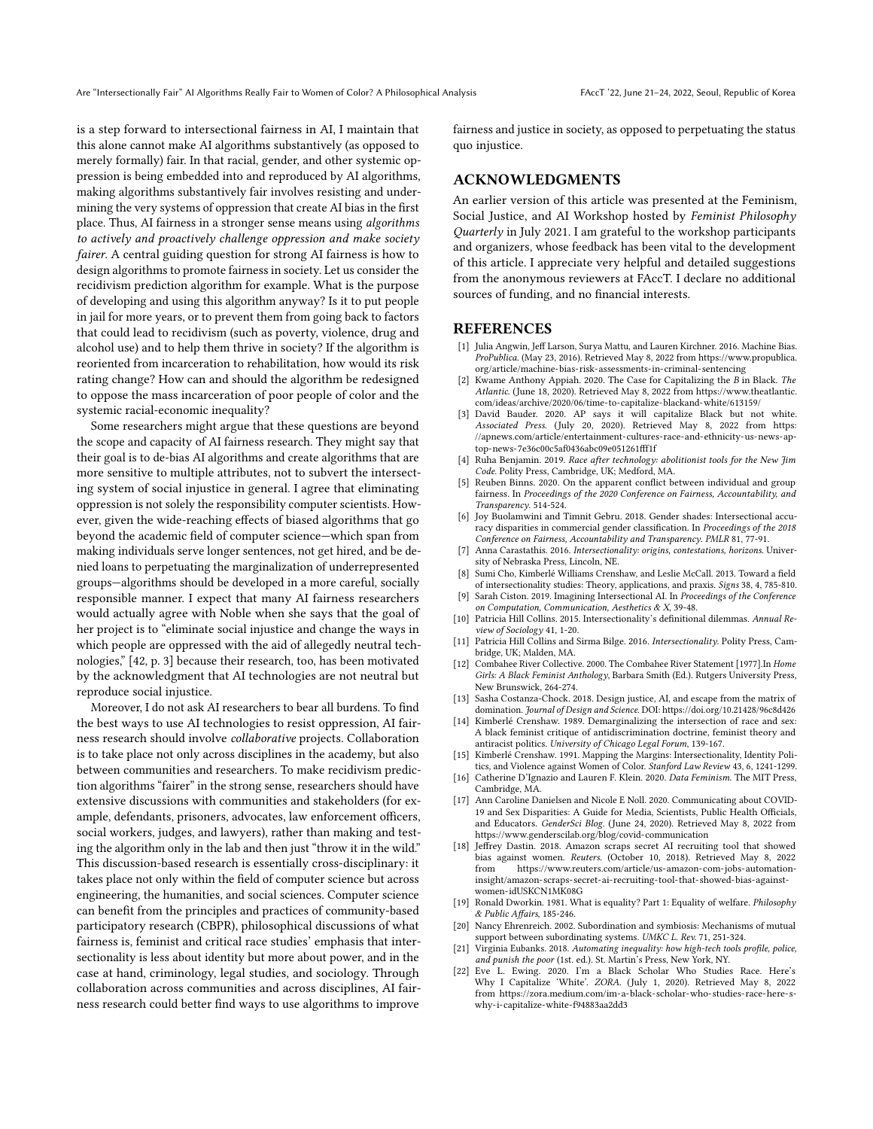is a step forward to intersectional fairness in AI, I maintain that this alone cannot make AI algorithms substantively (as opposed to merely formally) fair. In that racial, gender, and other systemic oppression is being embedded into and reproduced by AI algorithms, making algorithms substantively fair involves resisting and undermining the very systems of oppression that create AI bias in the first place. Thus, AI fairness in a stronger sense means using algorithms to actively and proactively challenge oppression and make society fairer. A central guiding question for strong AI fairness is how to design algorithms to promote fairness in society. Let us consider the recidivism prediction algorithm for example. What is the purpose of developing and using this algorithm anyway? Is it to put people in jail for more years, or to prevent them from going back to factors that could lead to recidivism (such as poverty, violence, drug and alcohol use) and to help them thrive in society? If the algorithm is reoriented from incarceration to rehabilitation, how would its risk rating change? How can and should the algorithm be redesigned to oppose the mass incarceration of poor people of color and the systemic racial-economic inequality?

Some researchers might argue that these questions are beyond the scope and capacity of AI fairness research. They might say that their goal is to de-bias AI algorithms and create algorithms that are more sensitive to multiple attributes, not to subvert the intersecting system of social injustice in general. I agree that eliminating oppression is not solely the responsibility computer scientists. However, given the wide-reaching effects of biased algorithms that go beyond the academic field of computer science—which span from making individuals serve longer sentences, not get hired, and be denied loans to perpetuating the marginalization of underrepresented groups—algorithms should be developed in a more careful, socially responsible manner. I expect that many AI fairness researchers would actually agree with Noble when she says that the goal of her project is to "eliminate social injustice and change the ways in which people are oppressed with the aid of allegedly neutral technologies," [\[42,](#page-9-1) p. 3] because their research, too, has been motivated by the acknowledgment that AI technologies are not neutral but reproduce social injustice.

Moreover, I do not ask AI researchers to bear all burdens. To find the best ways to use AI technologies to resist oppression, AI fairness research should involve collaborative projects. Collaboration is to take place not only across disciplines in the academy, but also between communities and researchers. To make recidivism prediction algorithms "fairer" in the strong sense, researchers should have extensive discussions with communities and stakeholders (for example, defendants, prisoners, advocates, law enforcement officers, social workers, judges, and lawyers), rather than making and testing the algorithm only in the lab and then just "throw it in the wild." This discussion-based research is essentially cross-disciplinary: it takes place not only within the field of computer science but across engineering, the humanities, and social sciences. Computer science can benefit from the principles and practices of community-based participatory research (CBPR), philosophical discussions of what fairness is, feminist and critical race studies' emphasis that intersectionality is less about identity but more about power, and in the case at hand, criminology, legal studies, and sociology. Through collaboration across communities and across disciplines, AI fairness research could better find ways to use algorithms to improve

fairness and justice in society, as opposed to perpetuating the status quo injustice.

## ACKNOWLEDGMENTS

An earlier version of this article was presented at the Feminism, Social Justice, and AI Workshop hosted by Feminist Philosophy Quarterly in July 2021. I am grateful to the workshop participants and organizers, whose feedback has been vital to the development of this article. I appreciate very helpful and detailed suggestions from the anonymous reviewers at FAccT. I declare no additional sources of funding, and no financial interests.

#### **REFERENCES**

- <span id="page-8-2"></span>[1] Julia Angwin, Jeff Larson, Surya Mattu, and Lauren Kirchner. 2016. Machine Bias. ProPublica. (May 23, 2016). Retrieved May 8, 2022 from [https://www.propublica.](https://www.propublica.org/article/machine-bias-risk-assessments-in-criminal-sentencing) [org/article/machine-bias-risk-assessments-in-criminal-sentencing](https://www.propublica.org/article/machine-bias-risk-assessments-in-criminal-sentencing)
- <span id="page-8-3"></span>[2] Kwame Anthony Appiah. 2020. The Case for Capitalizing the B in Black. The Atlantic. (June 18, 2020). Retrieved May 8, 2022 from [https://www.theatlantic.](https://www.theatlantic.com/ideas/archive/2020/06/time-to-capitalize-blackand-white/613159/) [com/ideas/archive/2020/06/time-to-capitalize-blackand-white/613159/](https://www.theatlantic.com/ideas/archive/2020/06/time-to-capitalize-blackand-white/613159/)
- <span id="page-8-4"></span>[3] David Bauder. 2020. AP says it will capitalize Black but not white. Associated Press. (July 20, 2020). Retrieved May 8, 2022 from [https:](https://apnews.com/article/entertainment-cultures-race-and-ethnicity-us-news-ap-top-news-7e36c00c5af0436abc09e051261fff1f) [//apnews.com/article/entertainment-cultures-race-and-ethnicity-us-news-ap](https://apnews.com/article/entertainment-cultures-race-and-ethnicity-us-news-ap-top-news-7e36c00c5af0436abc09e051261fff1f)[top-news-7e36c00c5af0436abc09e051261fff1f](https://apnews.com/article/entertainment-cultures-race-and-ethnicity-us-news-ap-top-news-7e36c00c5af0436abc09e051261fff1f)
- <span id="page-8-0"></span>[4] Ruha Benjamin. 2019. Race after technology: abolitionist tools for the New Jim Code. Polity Press, Cambridge, UK; Medford, MA.
- <span id="page-8-6"></span>[5] Reuben Binns. 2020. On the apparent conflict between individual and group fairness. In Proceedings of the 2020 Conference on Fairness, Accountability, and Transparency. 514-524.
- <span id="page-8-7"></span>[6] Joy Buolamwini and Timnit Gebru. 2018. Gender shades: Intersectional accuracy disparities in commercial gender classification. In Proceedings of the 2018 Conference on Fairness, Accountability and Transparency. PMLR 81, 77-91.
- <span id="page-8-19"></span>[7] Anna Carastathis. 2016. Intersectionality: origins, contestations, horizons. University of Nebraska Press, Lincoln, NE.
- <span id="page-8-16"></span>[8] Sumi Cho, Kimberlé Williams Crenshaw, and Leslie McCall. 2013. Toward a field of intersectionality studies: Theory, applications, and praxis. Signs 38, 4, 785-810.
- <span id="page-8-10"></span>[9] Sarah Ciston. 2019. Imagining Intersectional AI. In Proceedings of the Conference on Computation, Communication, Aesthetics & X, 39-48.
- <span id="page-8-15"></span>[10] Patricia Hill Collins. 2015. Intersectionality's definitional dilemmas. Annual Review of Sociology 41, 1-20.
- <span id="page-8-13"></span>[11] Patricia Hill Collins and Sirma Bilge. 2016. Intersectionality. Polity Press, Cambridge, UK; Malden, MA.
- <span id="page-8-14"></span>[12] Combahee River Collective. 2000. The Combahee River Statement [1977].In Home Girls: A Black Feminist Anthology, Barbara Smith (Ed.). Rutgers University Press, New Brunswick, 264-274.
- <span id="page-8-11"></span>[13] Sasha Costanza-Chock. 2018. Design justice, AI, and escape from the matrix of domination. Journal of Design and Science. DOI:<https://doi.org/10.21428/96c8d426>
- <span id="page-8-8"></span>[14] Kimberlé Crenshaw. 1989. Demarginalizing the intersection of race and sex: A black feminist critique of antidiscrimination doctrine, feminist theory and antiracist politics. University of Chicago Legal Forum, 139-167.
- <span id="page-8-17"></span>[15] Kimberlé Crenshaw. 1991. Mapping the Margins: Intersectionality, Identity Politics, and Violence against Women of Color. Stanford Law Review 43, 6, 1241-1299.
- <span id="page-8-12"></span>[16] Catherine D'Ignazio and Lauren F. Klein. 2020. Data Feminism. The MIT Press, Cambridge, MA.
- <span id="page-8-9"></span>[17] Ann Caroline Danielsen and Nicole E Noll. 2020. Communicating about COVID-19 and Sex Disparities: A Guide for Media, Scientists, Public Health Officials, and Educators. GenderSci Blog. (June 24, 2020). Retrieved May 8, 2022 from <https://www.genderscilab.org/blog/covid-communication>
- <span id="page-8-18"></span>[18] Jeffrey Dastin. 2018. Amazon scraps secret AI recruiting tool that showed bias against women. Reuters. (October 10, 2018). Retrieved May 8, 2022 from [https://www.reuters.com/article/us-amazon-com-jobs-automation](https://www.reuters.com/article/us-amazon-com-jobs-automation-insight/amazon-scraps-secret-ai-recruiting-tool-that-showed-bias-against-women-idUSKCN1MK08G)[insight/amazon-scraps-secret-ai-recruiting-tool-that-showed-bias-against](https://www.reuters.com/article/us-amazon-com-jobs-automation-insight/amazon-scraps-secret-ai-recruiting-tool-that-showed-bias-against-women-idUSKCN1MK08G)[women-idUSKCN1MK08G](https://www.reuters.com/article/us-amazon-com-jobs-automation-insight/amazon-scraps-secret-ai-recruiting-tool-that-showed-bias-against-women-idUSKCN1MK08G)
- <span id="page-8-21"></span>[19] Ronald Dworkin. 1981. What is equality? Part 1: Equality of welfare. Philosophy & Public Affairs, 185-246.
- <span id="page-8-20"></span>[20] Nancy Ehrenreich. 2002. Subordination and symbiosis: Mechanisms of mutual support between subordinating systems. UMKC L. Rev. 71, 251-324.
- <span id="page-8-1"></span>[21] Virginia Eubanks. 2018. Automating inequality: how high-tech tools profile, police, and punish the poor (1st. ed.). St. Martin's Press, New York, NY.
- <span id="page-8-5"></span>[22] Eve L. Ewing. 2020. I'm a Black Scholar Who Studies Race. Here's Why I Capitalize 'White'. ZORA. (July 1, 2020). Retrieved May 8, 2022 from [https://zora.medium.com/im-a-black-scholar-who-studies-race-here-s](https://zora.medium.com/im-a-black-scholar-who-studies-race-here-s-why-i-capitalize-white-f94883aa2dd3)[why-i-capitalize-white-f94883aa2dd3](https://zora.medium.com/im-a-black-scholar-who-studies-race-here-s-why-i-capitalize-white-f94883aa2dd3)